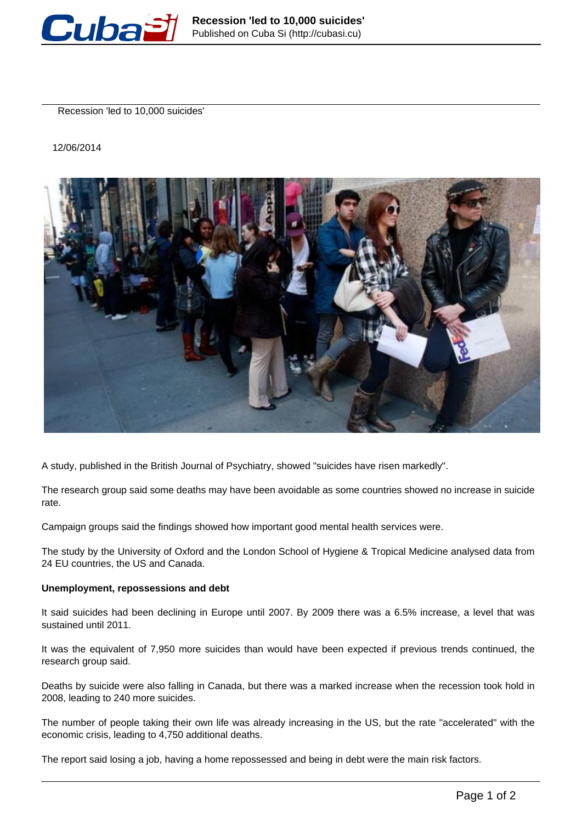

Recession 'led to 10,000 suicides'

12/06/2014



A study, published in the British Journal of Psychiatry, showed "suicides have risen markedly".

The research group said some deaths may have been avoidable as some countries showed no increase in suicide rate.

Campaign groups said the findings showed how important good mental health services were.

The study by the University of Oxford and the London School of Hygiene & Tropical Medicine analysed data from 24 EU countries, the US and Canada.

## **Unemployment, repossessions and debt**

It said suicides had been declining in Europe until 2007. By 2009 there was a 6.5% increase, a level that was sustained until 2011.

It was the equivalent of 7,950 more suicides than would have been expected if previous trends continued, the research group said.

Deaths by suicide were also falling in Canada, but there was a marked increase when the recession took hold in 2008, leading to 240 more suicides.

The number of people taking their own life was already increasing in the US, but the rate "accelerated" with the economic crisis, leading to 4,750 additional deaths.

The report said losing a job, having a home repossessed and being in debt were the main risk factors.